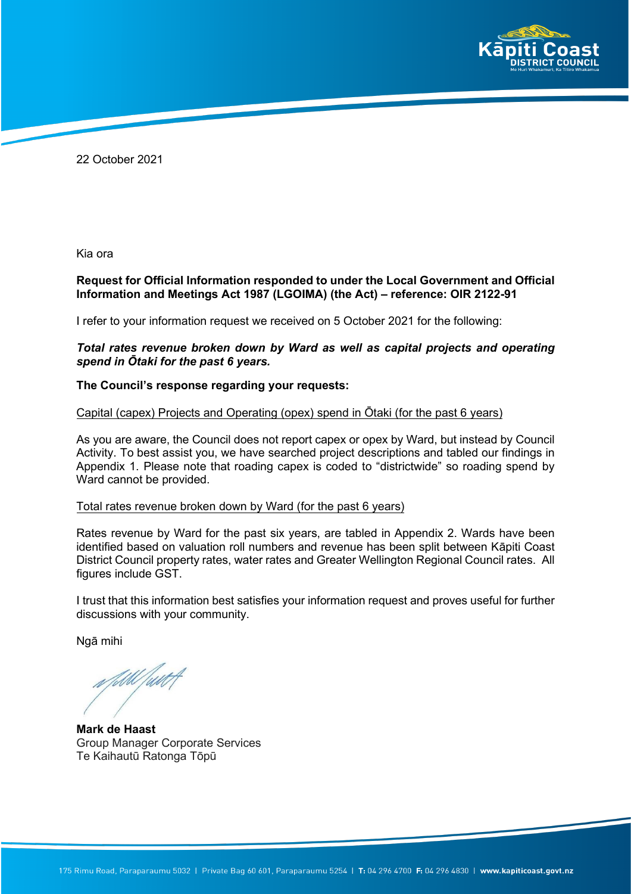

22 October 2021

Kia ora

#### **Request for Official Information responded to under the Local Government and Official Information and Meetings Act 1987 (LGOIMA) (the Act) – reference: OIR 2122-91**

I refer to your information request we received on 5 October 2021 for the following:

### *Total rates revenue broken down by Ward as well as capital projects and operating spend in Ōtaki for the past 6 years.*

#### **The Council's response regarding your requests:**

#### Capital (capex) Projects and Operating (opex) spend in Ōtaki (for the past 6 years)

As you are aware, the Council does not report capex or opex by Ward, but instead by Council Activity. To best assist you, we have searched project descriptions and tabled our findings in Appendix 1. Please note that roading capex is coded to "districtwide" so roading spend by Ward cannot be provided.

#### Total rates revenue broken down by Ward (for the past 6 years)

Rates revenue by Ward for the past six years, are tabled in Appendix 2. Wards have been identified based on valuation roll numbers and revenue has been split between Kāpiti Coast District Council property rates, water rates and Greater Wellington Regional Council rates. All figures include GST.

I trust that this information best satisfies your information request and proves useful for further discussions with your community.

Ngā mihi

**Mark de Haast** Group Manager Corporate Services Te Kaihautū Ratonga Tōpū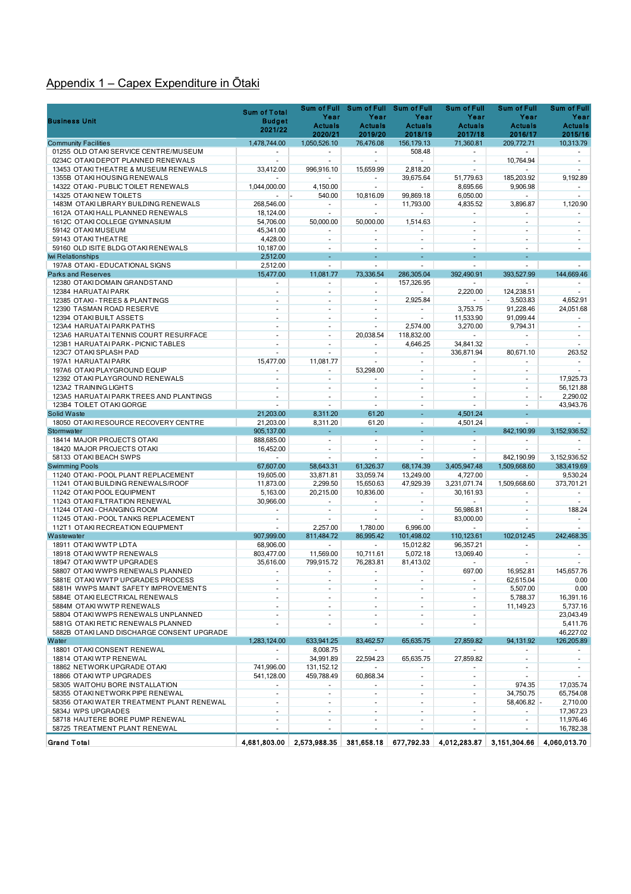# Appendix 1 – Capex Expenditure in Ōtaki

|                                                                            | <b>Sum of Total</b>            | <b>Sum of Full</b>                    |                                       | Sum of Full Sum of Full               | <b>Sum of Full</b>       | <b>Sum of Full</b>       | <b>Sum of Full</b>       |
|----------------------------------------------------------------------------|--------------------------------|---------------------------------------|---------------------------------------|---------------------------------------|--------------------------|--------------------------|--------------------------|
| <b>Business Unit</b>                                                       | <b>Budget</b>                  | Year                                  | Year                                  | Year                                  | Year                     | Year                     | Year                     |
|                                                                            | 2021/22                        | <b>Actuals</b>                        | <b>Actuals</b>                        | <b>Actuals</b>                        | <b>Actuals</b>           | <b>Actuals</b>           | <b>Actuals</b>           |
|                                                                            |                                | 2020/21                               | 2019/20                               | 2018/19                               | 2017/18                  | 2016/17                  | 2015/16                  |
| <b>Community Facilities</b><br>01255 OLD OTAKI SERVICE CENTRE/MUSEUM       | 1,478,744.00                   | 1,050,526.10<br>$\blacksquare$        | 76,476.08<br>$\overline{\phantom{a}}$ | 156,179.13<br>508.48                  | 71,360.81                | 209,772.71               | 10,313.79                |
| 0234C OTAKI DEPOT PLANNED RENEWALS                                         | ÷                              | $\sim$                                | $\omega$                              | $\sim$                                | ÷                        | 10,764.94                | $\sim$                   |
| 13453 OTAKITHEATRE & MUSEUM RENEWALS                                       | 33,412.00                      | 996.916.10                            | 15.659.99                             | 2,818.20                              | $\sim$                   |                          | $\sim$                   |
| 1355B OTAKI HOUSING RENEWALS                                               |                                | ٠                                     | $\blacksquare$                        | 39,675.64                             | 51,779.63                | 185,203.92               | 9,192.89                 |
| 14322 OTAKI - PUBLIC TOILET RENEWALS                                       | 1,044,000.00                   | 4,150.00                              | ÷.                                    |                                       | 8,695.66                 | 9,906.98                 |                          |
| 14325 OTAKI NEW TOILETS                                                    |                                | 540.00                                | 10,816.09                             | 99,869.18                             | 6,050.00                 |                          | $\sim$                   |
| 1483M OTAKI LIBRARY BUILDING RENEWALS                                      | 268,546.00                     | ÷.                                    | $\blacksquare$                        | 11,793.00                             | 4,835.52                 | 3,896.87                 | 1,120.90                 |
| 1612A OTAKI HALL PLANNED RENEWALS                                          | 18,124.00                      | $\overline{\phantom{a}}$<br>50.000.00 | ä,                                    | ÷.<br>1.514.63                        | $\sim$                   | $\blacksquare$           | $\sim$                   |
| 1612C OTAKI COLLEGE GYMNASIUM<br>59142 OTAKI MUSEUM                        | 54,706.00<br>45,341.00         | ä,                                    | 50,000.00                             |                                       | ä,<br>$\sim$             | ÷.                       | $\omega$<br>$\sim$       |
| 59143 OTAKITHEATRE                                                         | 4.428.00                       | $\blacksquare$                        | $\blacksquare$                        | $\sim$                                | $\overline{\phantom{a}}$ | $\overline{\phantom{a}}$ | $\blacksquare$           |
| 59160 OLD ISITE BLDG OTAKI RENEWALS                                        | 10,187.00                      | $\overline{\phantom{a}}$              | $\sim$                                | $\sim$                                | ٠                        | $\sim$                   | $\sim$                   |
| <b>Iwi Relationships</b>                                                   | 2,512.00                       |                                       |                                       |                                       |                          |                          |                          |
| 197A8 OTAKI - EDUCATIONAL SIGNS                                            | 2,512.00                       | ÷                                     | ÷                                     |                                       | ÷.                       |                          | $\sim$                   |
| <b>Parks and Reserves</b>                                                  | 15,477.00                      | 11,081.77                             | 73,336.54                             | 286,305.04                            | 392,490.91               | 393,527.99               | 144,669.46               |
| 12380 OTAKI DOMAIN GRANDSTAND                                              | $\blacksquare$                 | ÷.                                    | $\sim$                                | 157,326.95                            | ä,                       | ÷.                       | $\sim$                   |
| 12384 HARUATAI PARK                                                        | $\overline{\phantom{a}}$       | $\sim$                                | $\sim$                                |                                       | 2,220.00                 | 124,238.51               |                          |
| 12385 OTAKI - TREES & PLANTINGS<br>12390 TASMAN ROAD RESERVE               | ÷                              | ÷                                     | ÷                                     | 2,925.84<br>$\sim$                    | 3,753.75                 | 3,503.83<br>91,228.46    | 4,652.91<br>24.051.68    |
| 12394 OTAKI BUILT ASSETS                                                   | $\overline{\phantom{a}}$<br>ä, | $\overline{\phantom{a}}$<br>$\sim$    | $\blacksquare$<br>$\blacksquare$      |                                       | 11,533.90                | 91,099.44                | $\overline{\phantom{a}}$ |
| 123A4 HARUATAI PARK PATHS                                                  | ÷                              | $\sim$                                | $\overline{a}$                        | 2,574.00                              | 3,270.00                 | 9,794.31                 | $\sim$                   |
| 123A6 HARUATAI TENNIS COURT RESURFACE                                      | ä,                             | ä,                                    | 20,038.54                             | 118,832.00                            | $\sim$                   | ÷.                       | $\mathbf{r}$             |
| 123B1 HARUATAI PARK - PICNIC TABLES                                        | $\sim$                         | $\blacksquare$                        | $\sim$                                | 4,646.25                              | 34,841.32                | $\sim$                   |                          |
| 123C7 OTAKI SPLASH PAD                                                     |                                | ÷.                                    | $\blacksquare$                        | ä,                                    | 336,871.94               | 80,671.10                | 263.52                   |
| 197A1 HARUATAI PARK                                                        | 15.477.00                      | 11.081.77                             | ÷.                                    | $\sim$                                |                          | $\ddot{\phantom{1}}$     | $\mathbf{r}$             |
| 197A6 OTAKI PLAYGROUND EQUIP                                               |                                | ä,                                    | 53,298.00                             | $\sim$                                | $\sim$                   | $\mathbf{r}$             |                          |
| 12392 OTAKI PLAYGROUND RENEWALS                                            | $\blacksquare$                 | $\sim$                                | $\blacksquare$                        | $\blacksquare$                        | $\blacksquare$           | $\blacksquare$           | 17,925.73                |
| 123A2 TRAINING LIGHTS<br>123A5 HARUATAI PARK TREES AND PLANTINGS           | ÷                              | ä,<br>÷                               | ä,<br>$\overline{a}$                  | ä,<br>÷.                              | ä,<br>÷                  | ä,<br>$\sim$             | 56,121.88                |
| 123B4 TOILET OTAKI GORGE                                                   |                                | ä,                                    | $\sim$                                | ÷,                                    |                          | $\sim$                   | 2,290.02<br>43,943.76    |
| Solid Waste                                                                | 21,203.00                      | 8,311.20                              | 61.20                                 | ÷.                                    | 4,501.24                 | ÷,                       |                          |
| 18050 OTAKI RESOURCE RECOVERY CENTRE                                       | 21,203.00                      | 8,311.20                              | 61.20                                 | $\overline{\phantom{a}}$              | 4,501.24                 | $\sim$                   |                          |
| Stormwater                                                                 | 905,137.00                     | ÷.                                    | ä,                                    | ä,                                    | ÷.                       | 842,190.99               | 3,152,936.52             |
| 18414 MAJOR PROJECTS OTAKI                                                 | 888,685.00                     | ÷.                                    | $\overline{\phantom{a}}$              | $\sim$                                | $\overline{\phantom{a}}$ |                          |                          |
| 18420 MAJOR PROJECTS OTAKI                                                 | 16,452.00                      | ٠                                     | $\overline{\phantom{a}}$              | $\sim$                                | $\overline{\phantom{a}}$ | $\sim$                   |                          |
| 58133 OTAKI BEACH SWPS                                                     |                                | ä,                                    | ÷,                                    | L.                                    |                          | 842,190.99               | 3,152,936.52             |
| <b>Swimming Pools</b>                                                      | 67,607.00                      | 58,643.31                             | 61,326.37                             | 68,174.39                             | 3,405,947.48             | 1,509,668.60             | 383,419.69               |
| 11240 OTAKI - POOL PLANT REPLACEMENT<br>11241 OTAKI BUILDING RENEWALS/ROOF | 19,605.00<br>11,873.00         | 33,871.81<br>2,299.50                 | 33,059.74<br>15,650.63                | 13,249.00<br>47,929.39                | 4,727.00<br>3,231,071.74 | $\sim$<br>1,509,668.60   | 9,530.24<br>373,701.21   |
| 11242 OTAKI POOL EQUIPMENT                                                 | 5,163.00                       | 20,215.00                             | 10,836.00                             | $\overline{\phantom{a}}$              | 30,161.93                |                          | $\blacksquare$           |
| 11243 OTAKI FILTRATION RENEWAL                                             | 30,966.00                      | ٠                                     |                                       | $\sim$                                |                          | $\overline{a}$           | $\sim$                   |
| 11244 OTAKI - CHANGING ROOM                                                |                                | $\sim$                                | $\sim$                                | ä,                                    | 56,986.81                | $\mathbf{r}$             | 188.24                   |
| 11245 OTAKI - POOL TANKS REPLACEMENT                                       | $\sim$                         | ÷                                     | $\sim$                                | $\overline{a}$                        | 83,000.00                | $\sim$                   | $\sim$                   |
| 112T1 OTAKI RECREATION EQUIPMENT                                           |                                | 2.257.00                              | 1.780.00                              | 6,996.00                              |                          | ä,                       | $\sim$                   |
| Wastewater                                                                 | 907.999.00                     | 811,484.72                            | 86,995.42                             | 101,498.02                            | 110,123.61               | 102,012.45               | 242,468.35               |
| 18911 OTAKI WWTP LDTA                                                      | 68,906.00                      | $\sim$                                | $\blacksquare$                        | 15,012.82                             | 96,357.21                | $\blacksquare$           | $\blacksquare$           |
| 18918 OTAKI WWTP RENEWALS                                                  | 803,477.00                     | 11,569.00                             | 10,711.61                             | 5,072.18                              | 13,069.40                | $\blacksquare$           | $\sim$                   |
| 18947 OTAKI WWTP UPGRADES<br>58807 OTAKI WWPS RENEWALS PLANNED             | 35,616.00<br>÷                 | 799,915.72<br>$\sim$                  | 76,283.81<br>÷.                       | 81,413.02<br>$\overline{\phantom{a}}$ | 697.00                   | 16.952.81                | 145,657.76               |
| 5881E OTAKIWWTP UPGRADES PROCESS                                           |                                |                                       |                                       |                                       |                          | 62,615.04                | 0.00                     |
| 5881H WWPS MAINT SAFETY IMPROVEMENTS                                       | $\blacksquare$                 | $\overline{\phantom{a}}$              | $\blacksquare$                        | $\blacksquare$                        | $\blacksquare$           | 5,507.00                 | 0.00                     |
| 5884E OTAKI ELECTRICAL RENEWALS                                            |                                | $\overline{\phantom{a}}$              |                                       | $\blacksquare$                        | $\overline{\phantom{a}}$ | 5,788.37                 | 16,391.16                |
| 5884M OTAKI WWTP RENEWALS                                                  |                                | ٠                                     | $\blacksquare$                        | $\blacksquare$                        | ٠                        | 11,149.23                | 5,737.16                 |
| 58804 OTAKI WWPS RENEWALS UNPLANNED                                        |                                | ÷                                     | $\blacksquare$                        | $\overline{\phantom{a}}$              | $\overline{\phantom{a}}$ |                          | 23,043.49                |
| 5881G OTAKI RETIC RENEWALS PLANNED                                         | ٠                              | $\overline{\phantom{a}}$              | $\blacksquare$                        | $\sim$                                | ٠                        |                          | 5,411.76                 |
| 5882B OTAKI LAND DISCHARGE CONSENT UPGRADE                                 |                                |                                       |                                       |                                       |                          |                          | 46,227.02                |
| Water                                                                      | 1,283,124.00                   | 633,941.25                            | 83,462.57<br>$\sim$                   | 65,635.75<br>$\sim$                   | 27,859.82<br>$\sim$      | 94.131.92<br>$\sim$      | 126,205.89<br>$\sim$     |
| 18801 OTAKI CONSENT RENEWAL<br>18814 OTAKI WTP RENEWAL                     | $\sim$<br>÷.                   | 8,008.75<br>34,991.89                 | 22,594.23                             | 65,635.75                             | 27,859.82                | $\sim$                   | $\sim$                   |
| 18862 NETWORK UPGRADE OTAKI                                                | 741,996.00                     | 131,152.12                            |                                       |                                       |                          | $\overline{\phantom{a}}$ | $\blacksquare$           |
| 18866 OTAKI WTP UPGRADES                                                   | 541,128.00                     | 459,788.49                            | 60,868.34                             | $\overline{\phantom{a}}$              | $\sim$                   |                          |                          |
| 58305 WAITOHU BORE INSTALLATION                                            | $\blacksquare$                 | $\blacksquare$                        | $\sim$                                | $\overline{\phantom{a}}$              | $\overline{\phantom{a}}$ | 974.35                   | 17,035.74                |
| 58355 OTAKINETWORK PIPE RENEWAL                                            | $\mathcal{L}_{\mathcal{A}}$    | ÷.                                    | ÷.                                    | $\overline{\phantom{a}}$              | $\blacksquare$           | 34,750.75                | 65,754.08                |
| 58356 OTAKI WATER TREATMENT PLANT RENEWAL                                  | $\blacksquare$                 | ٠                                     | $\blacksquare$                        | $\overline{\phantom{a}}$              | ÷                        | 58.406.82 -              | 2,710.00                 |
| 5834J WPS UPGRADES                                                         | ÷                              | ٠                                     | $\sim$                                | ÷.                                    | $\sim$                   |                          | 17,367.23                |
| 58718 HAUTERE BORE PUMP RENEWAL                                            | $\overline{\phantom{a}}$       | $\overline{\phantom{a}}$              | $\blacksquare$                        | $\blacksquare$                        | $\overline{\phantom{a}}$ | $\sim$                   | 11,976.46                |
| 58725 TREATMENT PLANT RENEWAL                                              | ٠                              | $\overline{\phantom{a}}$              |                                       |                                       | $\sim$                   |                          | 16,782.38                |
| <b>Grand Total</b>                                                         | 4,681,803.00                   | 2,573,988.35                          | 381,658.18                            | 677,792.33                            | 4,012,283.87             | 3,151,304.66             | 4,060,013.70             |